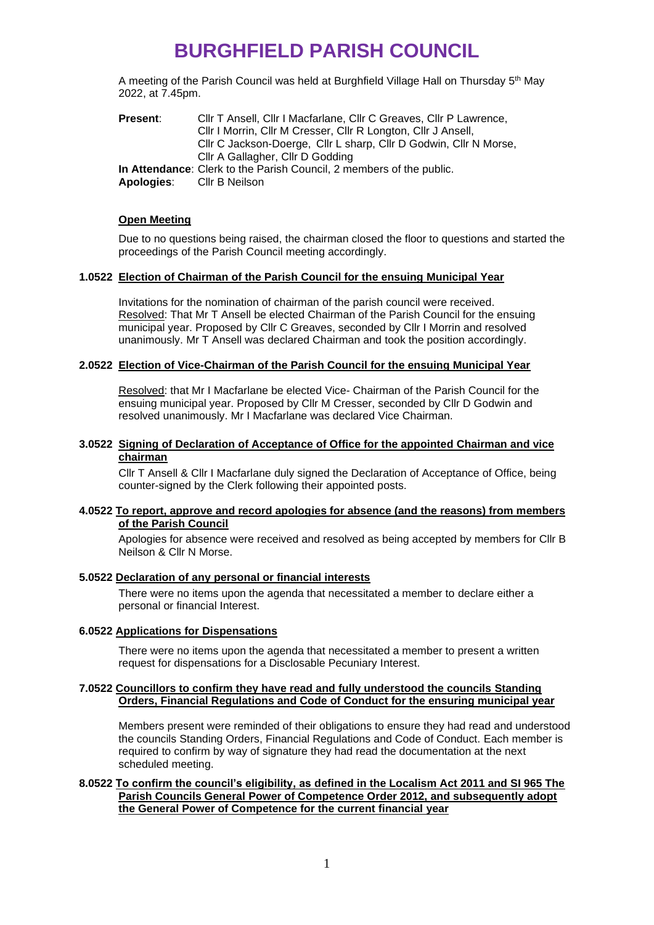A meeting of the Parish Council was held at Burghfield Village Hall on Thursday 5<sup>th</sup> May 2022, at 7.45pm.

| <b>Present:</b> | CIIr T Ansell, CIIr I Macfarlane, CIIr C Greaves, CIIr P Lawrence,   |
|-----------------|----------------------------------------------------------------------|
|                 | Cllr I Morrin, Cllr M Cresser, Cllr R Longton, Cllr J Ansell,        |
|                 | Cllr C Jackson-Doerge, Cllr L sharp, Cllr D Godwin, Cllr N Morse,    |
|                 | Cllr A Gallagher, Cllr D Godding                                     |
|                 | In Attendance: Clerk to the Parish Council, 2 members of the public. |
| Apologies:      | CIIr B Neilson                                                       |

#### **Open Meeting**

Due to no questions being raised, the chairman closed the floor to questions and started the proceedings of the Parish Council meeting accordingly.

## **1.0522 Election of Chairman of the Parish Council for the ensuing Municipal Year**

Invitations for the nomination of chairman of the parish council were received. Resolved: That Mr T Ansell be elected Chairman of the Parish Council for the ensuing municipal year. Proposed by Cllr C Greaves, seconded by Cllr I Morrin and resolved unanimously. Mr T Ansell was declared Chairman and took the position accordingly.

#### **2.0522 Election of Vice-Chairman of the Parish Council for the ensuing Municipal Year**

Resolved: that Mr I Macfarlane be elected Vice- Chairman of the Parish Council for the ensuing municipal year. Proposed by Cllr M Cresser, seconded by Cllr D Godwin and resolved unanimously. Mr I Macfarlane was declared Vice Chairman.

#### **3.0522 Signing of Declaration of Acceptance of Office for the appointed Chairman and vice chairman**

Cllr T Ansell & Cllr I Macfarlane duly signed the Declaration of Acceptance of Office, being counter-signed by the Clerk following their appointed posts.

#### **4.0522 To report, approve and record apologies for absence (and the reasons) from members of the Parish Council**

Apologies for absence were received and resolved as being accepted by members for Cllr B Neilson & Cllr N Morse.

#### **5.0522 Declaration of any personal or financial interests**

There were no items upon the agenda that necessitated a member to declare either a personal or financial Interest.

#### **6.0522 Applications for Dispensations**

There were no items upon the agenda that necessitated a member to present a written request for dispensations for a Disclosable Pecuniary Interest.

#### **7.0522 Councillors to confirm they have read and fully understood the councils Standing Orders, Financial Regulations and Code of Conduct for the ensuring municipal year**

Members present were reminded of their obligations to ensure they had read and understood the councils Standing Orders, Financial Regulations and Code of Conduct. Each member is required to confirm by way of signature they had read the documentation at the next scheduled meeting.

#### **8.0522 To confirm the council's eligibility, as defined in the Localism Act 2011 and SI 965 The Parish Councils General Power of Competence Order 2012, and subsequently adopt the General Power of Competence for the current financial year**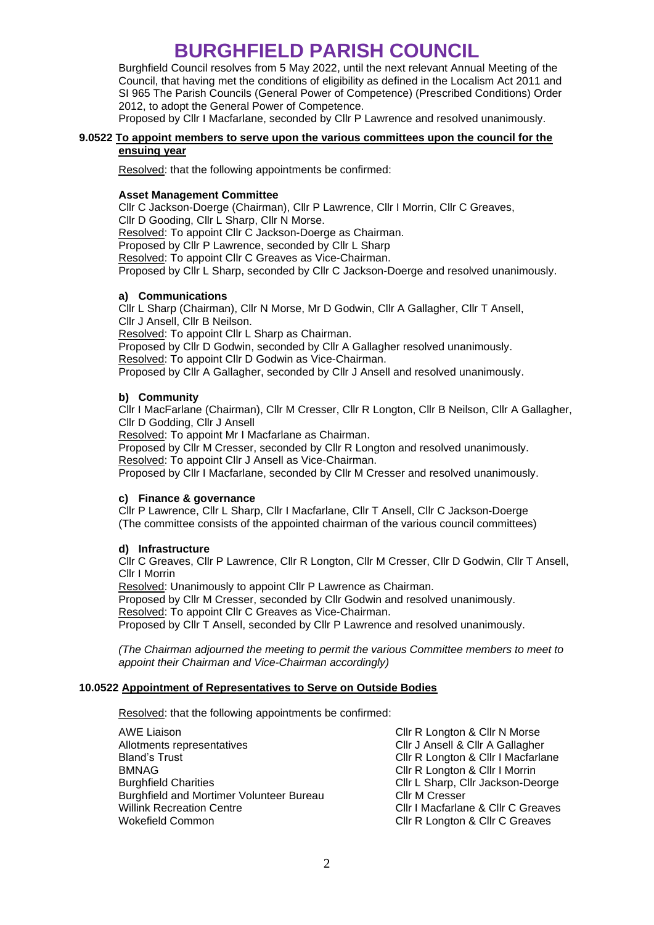Burghfield Council resolves from 5 May 2022, until the next relevant Annual Meeting of the Council, that having met the conditions of eligibility as defined in the Localism Act 2011 and SI 965 The Parish Councils (General Power of Competence) (Prescribed Conditions) Order 2012, to adopt the General Power of Competence.

Proposed by Cllr I Macfarlane, seconded by Cllr P Lawrence and resolved unanimously.

## **9.0522 To appoint members to serve upon the various committees upon the council for the ensuing year**

Resolved: that the following appointments be confirmed:

## **Asset Management Committee**

Cllr C Jackson-Doerge (Chairman), Cllr P Lawrence, Cllr I Morrin, Cllr C Greaves, Cllr D Gooding, Cllr L Sharp, Cllr N Morse.

Resolved: To appoint Cllr C Jackson-Doerge as Chairman.

Proposed by Cllr P Lawrence, seconded by Cllr L Sharp

Resolved: To appoint Cllr C Greaves as Vice-Chairman.

Proposed by Cllr L Sharp, seconded by Cllr C Jackson-Doerge and resolved unanimously.

## **a) Communications**

Cllr L Sharp (Chairman), Cllr N Morse, Mr D Godwin, Cllr A Gallagher, Cllr T Ansell, Cllr J Ansell, Cllr B Neilson.

Resolved: To appoint Cllr L Sharp as Chairman.

Proposed by Cllr D Godwin, seconded by Cllr A Gallagher resolved unanimously.

Resolved: To appoint Cllr D Godwin as Vice-Chairman.

Proposed by Cllr A Gallagher, seconded by Cllr J Ansell and resolved unanimously.

## **b) Community**

Cllr I MacFarlane (Chairman), Cllr M Cresser, Cllr R Longton, Cllr B Neilson, Cllr A Gallagher, Cllr D Godding, Cllr J Ansell

Resolved: To appoint Mr I Macfarlane as Chairman.

Proposed by Cllr M Cresser, seconded by Cllr R Longton and resolved unanimously. Resolved: To appoint Cllr J Ansell as Vice-Chairman.

Proposed by Cllr I Macfarlane, seconded by Cllr M Cresser and resolved unanimously.

## **c) Finance & governance**

Cllr P Lawrence, Cllr L Sharp, Cllr I Macfarlane, Cllr T Ansell, Cllr C Jackson-Doerge (The committee consists of the appointed chairman of the various council committees)

## **d) Infrastructure**

Cllr C Greaves, Cllr P Lawrence, Cllr R Longton, Cllr M Cresser, Cllr D Godwin, Cllr T Ansell, Cllr I Morrin

Resolved: Unanimously to appoint Cllr P Lawrence as Chairman.

Proposed by Cllr M Cresser, seconded by Cllr Godwin and resolved unanimously. Resolved: To appoint Cllr C Greaves as Vice-Chairman. Proposed by Cllr T Ansell, seconded by Cllr P Lawrence and resolved unanimously.

*(The Chairman adjourned the meeting to permit the various Committee members to meet to appoint their Chairman and Vice-Chairman accordingly)*

## **10.0522 Appointment of Representatives to Serve on Outside Bodies**

Resolved: that the following appointments be confirmed:

AWE Liaison **Clir R** Longton & Clir N Morse Allotments representatives Cllr J Ansell & Cllr A Gallagher Bland's Trust **Clir R** Longton & Clir I Macfarlane BMNAG **Cllr R** Longton & Cllr I Morrin Burghfield Charities Cllr L Sharp, Cllr Jackson-Deorge Burghfield and Mortimer Volunteer Bureau Cllr M Cresser Willink Recreation Centre **Clir I Macfarlane & Clir C Greaves** Clir C Greaves Wokefield Common **Clir R** Longton & Clir C Greaves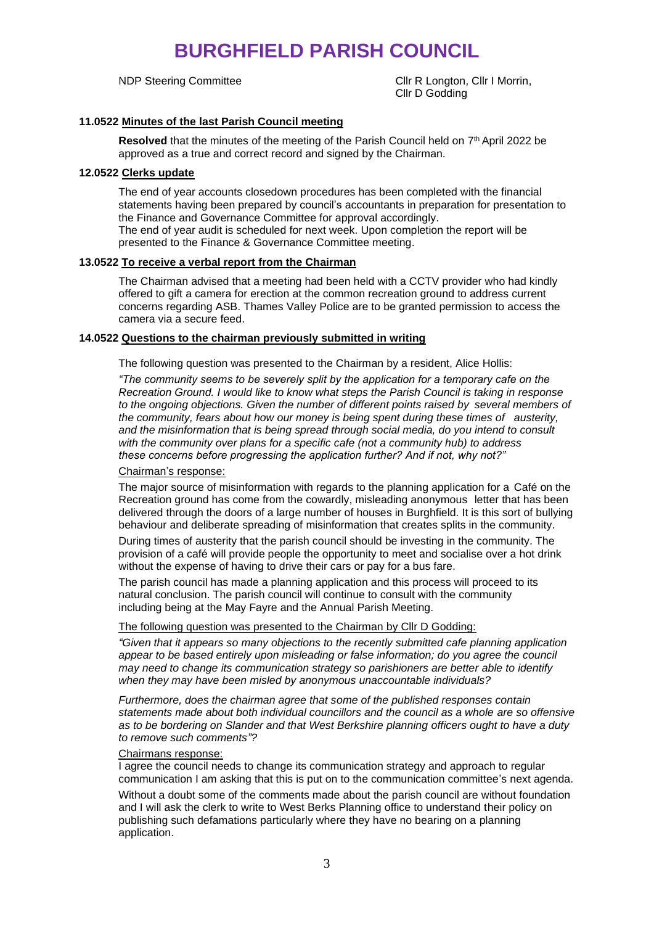NDP Steering Committee Click Clir R Longton, Clir I Morrin, Cllr D Godding

## **11.0522 Minutes of the last Parish Council meeting**

Resolved that the minutes of the meeting of the Parish Council held on 7<sup>th</sup> April 2022 be approved as a true and correct record and signed by the Chairman.

## **12.0522 Clerks update**

The end of year accounts closedown procedures has been completed with the financial statements having been prepared by council's accountants in preparation for presentation to the Finance and Governance Committee for approval accordingly. The end of year audit is scheduled for next week. Upon completion the report will be presented to the Finance & Governance Committee meeting.

## **13.0522 To receive a verbal report from the Chairman**

The Chairman advised that a meeting had been held with a CCTV provider who had kindly offered to gift a camera for erection at the common recreation ground to address current concerns regarding ASB. Thames Valley Police are to be granted permission to access the camera via a secure feed.

## **14.0522 Questions to the chairman previously submitted in writing**

The following question was presented to the Chairman by a resident, Alice Hollis:

*"The community seems to be severely split by the application for a temporary cafe on the Recreation Ground. I would like to know what steps the Parish Council is taking in response*  to the ongoing objections. Given the number of different points raised by several members of *the community, fears about how our money is being spent during these times of austerity, and the misinformation that is being spread through social media, do you intend to consult with the community over plans for a specific cafe (not a community hub) to address these concerns before progressing the application further? And if not, why not?"*

#### Chairman's response:

The major source of misinformation with regards to the planning application for a Café on the Recreation ground has come from the cowardly, misleading anonymous letter that has been delivered through the doors of a large number of houses in Burghfield. It is this sort of bullying behaviour and deliberate spreading of misinformation that creates splits in the community.

During times of austerity that the parish council should be investing in the community. The provision of a café will provide people the opportunity to meet and socialise over a hot drink without the expense of having to drive their cars or pay for a bus fare.

The parish council has made a planning application and this process will proceed to its natural conclusion. The parish council will continue to consult with the community including being at the May Fayre and the Annual Parish Meeting.

#### The following question was presented to the Chairman by Cllr D Godding:

*"Given that it appears so many objections to the recently submitted cafe planning application*  appear to be based entirely upon misleading or false information; do you agree the council *may need to change its communication strategy so parishioners are better able to identify when they may have been misled by anonymous unaccountable individuals?* 

*Furthermore, does the chairman agree that some of the published responses contain statements made about both individual councillors and the council as a whole are so offensive as to be bordering on Slander and that West Berkshire planning officers ought to have a duty to remove such comments"?*

#### Chairmans response:

I agree the council needs to change its communication strategy and approach to regular communication I am asking that this is put on to the communication committee's next agenda.

Without a doubt some of the comments made about the parish council are without foundation and I will ask the clerk to write to West Berks Planning office to understand their policy on publishing such defamations particularly where they have no bearing on a planning application.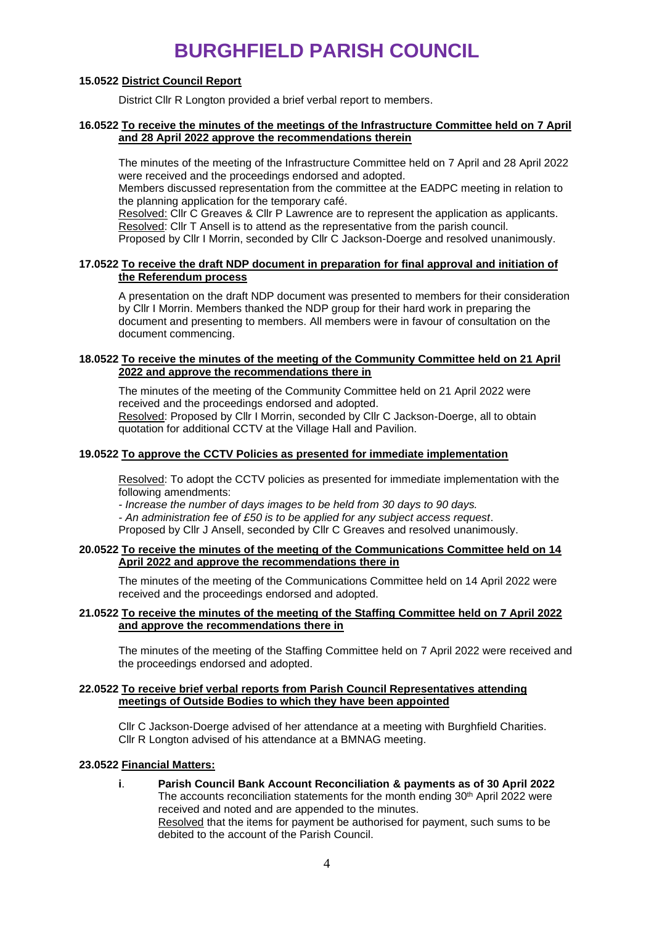## **15.0522 District Council Report**

District Cllr R Longton provided a brief verbal report to members.

#### **16.0522 To receive the minutes of the meetings of the Infrastructure Committee held on 7 April and 28 April 2022 approve the recommendations therein**

The minutes of the meeting of the Infrastructure Committee held on 7 April and 28 April 2022 were received and the proceedings endorsed and adopted.

Members discussed representation from the committee at the EADPC meeting in relation to the planning application for the temporary café.

Resolved: Cllr C Greaves & Cllr P Lawrence are to represent the application as applicants. Resolved: Cllr T Ansell is to attend as the representative from the parish council. Proposed by Cllr I Morrin, seconded by Cllr C Jackson-Doerge and resolved unanimously.

## **17.0522 To receive the draft NDP document in preparation for final approval and initiation of the Referendum process**

A presentation on the draft NDP document was presented to members for their consideration by Cllr I Morrin. Members thanked the NDP group for their hard work in preparing the document and presenting to members. All members were in favour of consultation on the document commencing.

## **18.0522 To receive the minutes of the meeting of the Community Committee held on 21 April 2022 and approve the recommendations there in**

The minutes of the meeting of the Community Committee held on 21 April 2022 were received and the proceedings endorsed and adopted.

Resolved: Proposed by Cllr I Morrin, seconded by Cllr C Jackson-Doerge, all to obtain quotation for additional CCTV at the Village Hall and Pavilion.

## **19.0522 To approve the CCTV Policies as presented for immediate implementation**

Resolved: To adopt the CCTV policies as presented for immediate implementation with the following amendments:

*- Increase the number of days images to be held from 30 days to 90 days.* 

*- An administration fee of £50 is to be applied for any subject access request*. Proposed by Cllr J Ansell, seconded by Cllr C Greaves and resolved unanimously.

## **20.0522 To receive the minutes of the meeting of the Communications Committee held on 14 April 2022 and approve the recommendations there in**

The minutes of the meeting of the Communications Committee held on 14 April 2022 were received and the proceedings endorsed and adopted.

## **21.0522 To receive the minutes of the meeting of the Staffing Committee held on 7 April 2022 and approve the recommendations there in**

The minutes of the meeting of the Staffing Committee held on 7 April 2022 were received and the proceedings endorsed and adopted.

#### **22.0522 To receive brief verbal reports from Parish Council Representatives attending meetings of Outside Bodies to which they have been appointed**

Cllr C Jackson-Doerge advised of her attendance at a meeting with Burghfield Charities. Cllr R Longton advised of his attendance at a BMNAG meeting.

## **23.0522 Financial Matters:**

**i**. **Parish Council Bank Account Reconciliation & payments as of 30 April 2022** The accounts reconciliation statements for the month ending  $30<sup>th</sup>$  April 2022 were received and noted and are appended to the minutes. Resolved that the items for payment be authorised for payment, such sums to be debited to the account of the Parish Council.